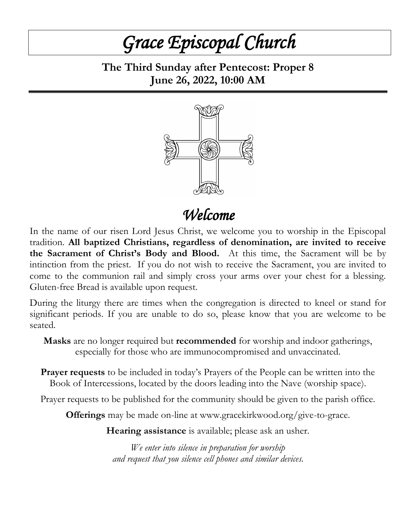# *Grace Episcopal Church*

**The Third Sunday after Pentecost: Proper 8 June 26, 2022, 10:00 AM**



*Welcome*

In the name of our risen Lord Jesus Christ, we welcome you to worship in the Episcopal tradition. **All baptized Christians, regardless of denomination, are invited to receive the Sacrament of Christ's Body and Blood.** At this time, the Sacrament will be by intinction from the priest. If you do not wish to receive the Sacrament, you are invited to come to the communion rail and simply cross your arms over your chest for a blessing. Gluten-free Bread is available upon request.

During the liturgy there are times when the congregation is directed to kneel or stand for significant periods. If you are unable to do so, please know that you are welcome to be seated.

**Masks** are no longer required but **recommended** for worship and indoor gatherings, especially for those who are immunocompromised and unvaccinated.

**Prayer requests** to be included in today's Prayers of the People can be written into the Book of Intercessions, located by the doors leading into the Nave (worship space).

Prayer requests to be published for the community should be given to the parish office.

**Offerings** may be made on-line at www.gracekirkwood.org/give-to-grace.

**Hearing assistance** is available; please ask an usher.

*We enter into silence in preparation for worship and request that you silence cell phones and similar devices.*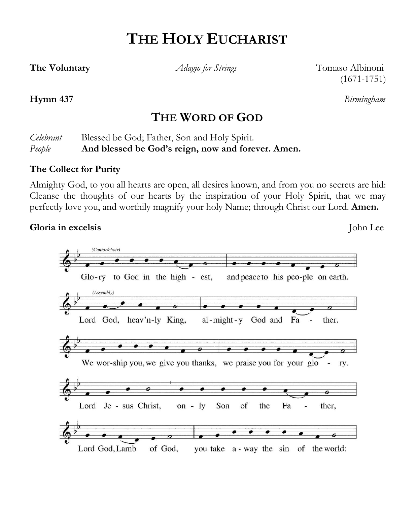## **THE HOLY EUCHARIST**

**The Voluntary** *Adagio for Strings* Tomaso Albinoni (1671-1751)

#### **Hymn 437** *Birmingham*

### **THE WORD OF GOD**

*Celebrant* Blessed be God; Father, Son and Holy Spirit. *People* **And blessed be God's reign, now and forever. Amen.**

#### **The Collect for Purity**

Almighty God, to you all hearts are open, all desires known, and from you no secrets are hid: Cleanse the thoughts of our hearts by the inspiration of your Holy Spirit, that we may perfectly love you, and worthily magnify your holy Name; through Christ our Lord. **Amen.**

#### **Gloria in excelsis** John Lee

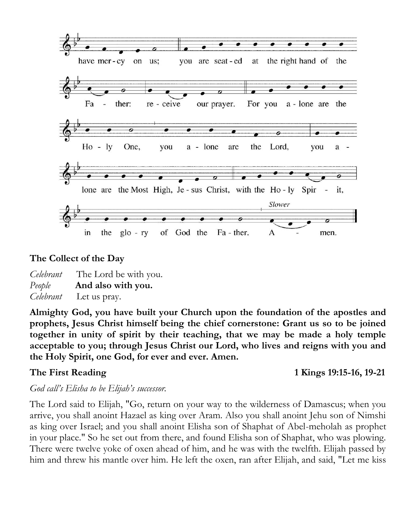

#### **The Collect of the Day**

*Celebrant* The Lord be with you. *People* **And also with you.** *Celebrant* Let us pray.

**Almighty God, you have built your Church upon the foundation of the apostles and prophets, Jesus Christ himself being the chief cornerstone: Grant us so to be joined together in unity of spirit by their teaching, that we may be made a holy temple acceptable to you; through Jesus Christ our Lord, who lives and reigns with you and the Holy Spirit, one God, for ever and ever. Amen.**

**The First Reading 1 Kings 19:15-16, 19-21**

#### *God call's Elisha to be Elijah's successor.*

The Lord said to Elijah, "Go, return on your way to the wilderness of Damascus; when you arrive, you shall anoint Hazael as king over Aram. Also you shall anoint Jehu son of Nimshi as king over Israel; and you shall anoint Elisha son of Shaphat of Abel-meholah as prophet in your place." So he set out from there, and found Elisha son of Shaphat, who was plowing. There were twelve yoke of oxen ahead of him, and he was with the twelfth. Elijah passed by him and threw his mantle over him. He left the oxen, ran after Elijah, and said, "Let me kiss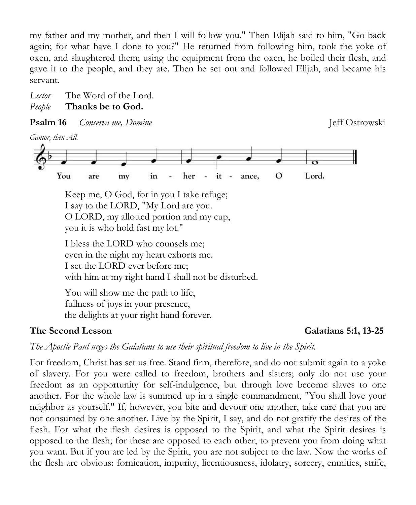my father and my mother, and then I will follow you." Then Elijah said to him, "Go back again; for what have I done to you?" He returned from following him, took the yoke of oxen, and slaughtered them; using the equipment from the oxen, he boiled their flesh, and gave it to the people, and they ate. Then he set out and followed Elijah, and became his servant.

*Lector* The Word of the Lord. *People* **Thanks be to God.**

**Psalm 16** *Conserva me, Domine Conserva me, Domine Conservation* 

*Cantor, then All.*



 Keep me, O God, for in you I take refuge; I say to the LORD, "My Lord are you. O LORD, my allotted portion and my cup, you it is who hold fast my lot."

 I bless the LORD who counsels me; even in the night my heart exhorts me. I set the LORD ever before me; with him at my right hand I shall not be disturbed.

 You will show me the path to life, fullness of joys in your presence, the delights at your right hand forever.

#### **The Second Lesson Galatians 5:1, 13-25**

*The Apostle Paul urges the Galatians to use their spiritual freedom to live in the Spirit.* 

For freedom, Christ has set us free. Stand firm, therefore, and do not submit again to a yoke of slavery. For you were called to freedom, brothers and sisters; only do not use your freedom as an opportunity for self-indulgence, but through love become slaves to one another. For the whole law is summed up in a single commandment, "You shall love your neighbor as yourself." If, however, you bite and devour one another, take care that you are not consumed by one another. Live by the Spirit, I say, and do not gratify the desires of the flesh. For what the flesh desires is opposed to the Spirit, and what the Spirit desires is opposed to the flesh; for these are opposed to each other, to prevent you from doing what you want. But if you are led by the Spirit, you are not subject to the law. Now the works of the flesh are obvious: fornication, impurity, licentiousness, idolatry, sorcery, enmities, strife,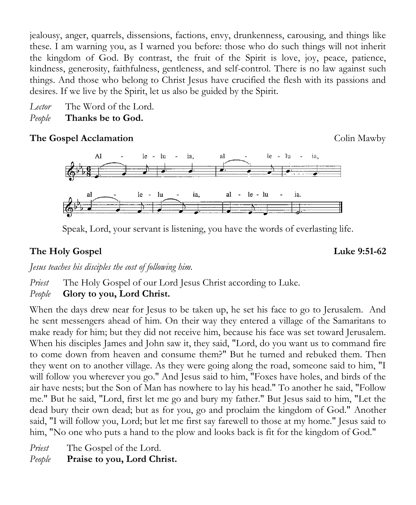jealousy, anger, quarrels, dissensions, factions, envy, drunkenness, carousing, and things like these. I am warning you, as I warned you before: those who do such things will not inherit the kingdom of God. By contrast, the fruit of the Spirit is love, joy, peace, patience, kindness, generosity, faithfulness, gentleness, and self-control. There is no law against such things. And those who belong to Christ Jesus have crucified the flesh with its passions and desires. If we live by the Spirit, let us also be guided by the Spirit.

*Lector* The Word of the Lord. *People* **Thanks be to God.**

#### **The Gospel Acclamation** Colin Mawby



Speak, Lord, your servant is listening, you have the words of everlasting life.

### **The Holy Gospel Luke 9:51-62**

*Jesus teaches his disciples the cost of following him.*

*Priest* The Holy Gospel of our Lord Jesus Christ according to Luke.

#### *People* **Glory to you, Lord Christ.**

When the days drew near for Jesus to be taken up, he set his face to go to Jerusalem. And he sent messengers ahead of him. On their way they entered a village of the Samaritans to make ready for him; but they did not receive him, because his face was set toward Jerusalem. When his disciples James and John saw it, they said, "Lord, do you want us to command fire to come down from heaven and consume them?" But he turned and rebuked them. Then they went on to another village. As they were going along the road, someone said to him, "I will follow you wherever you go." And Jesus said to him, "Foxes have holes, and birds of the air have nests; but the Son of Man has nowhere to lay his head." To another he said, "Follow me." But he said, "Lord, first let me go and bury my father." But Jesus said to him, "Let the dead bury their own dead; but as for you, go and proclaim the kingdom of God." Another said, "I will follow you, Lord; but let me first say farewell to those at my home." Jesus said to him, "No one who puts a hand to the plow and looks back is fit for the kingdom of God."

*Priest* The Gospel of the Lord.

*People* **Praise to you, Lord Christ.**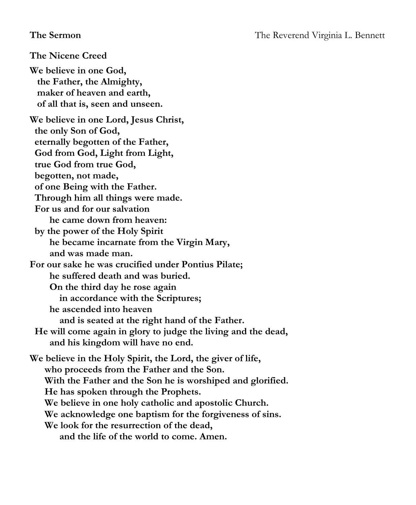**The Nicene Creed We believe in one God, the Father, the Almighty, maker of heaven and earth, of all that is, seen and unseen. We believe in one Lord, Jesus Christ, the only Son of God, eternally begotten of the Father, God from God, Light from Light, true God from true God, begotten, not made, of one Being with the Father. Through him all things were made. For us and for our salvation he came down from heaven: by the power of the Holy Spirit he became incarnate from the Virgin Mary, and was made man. For our sake he was crucified under Pontius Pilate; he suffered death and was buried. On the third day he rose again in accordance with the Scriptures; he ascended into heaven and is seated at the right hand of the Father. He will come again in glory to judge the living and the dead, and his kingdom will have no end. We believe in the Holy Spirit, the Lord, the giver of life, who proceeds from the Father and the Son. With the Father and the Son he is worshiped and glorified. He has spoken through the Prophets. We believe in one holy catholic and apostolic Church. We acknowledge one baptism for the forgiveness of sins. We look for the resurrection of the dead, and the life of the world to come. Amen.**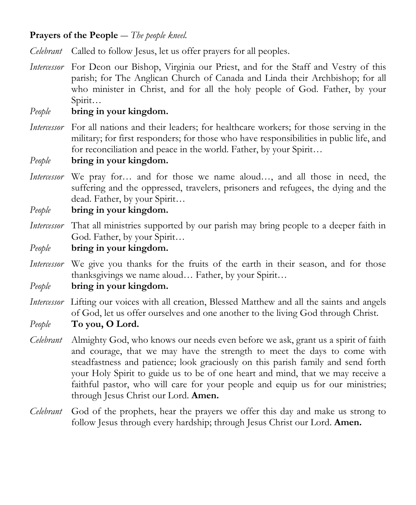#### **Prayers of the People** ― *The people kneel.*

*Celebrant* Called to follow Jesus, let us offer prayers for all peoples.

*Intercessor* For Deon our Bishop, Virginia our Priest, and for the Staff and Vestry of this parish; for The Anglican Church of Canada and Linda their Archbishop; for all who minister in Christ, and for all the holy people of God. Father, by your Spirit…

#### *People* **bring in your kingdom.**

*Intercessor* For all nations and their leaders; for healthcare workers; for those serving in the military; for first responders; for those who have responsibilities in public life, and for reconciliation and peace in the world. Father, by your Spirit...

*People* **bring in your kingdom.**

*Intercessor* We pray for… and for those we name aloud…, and all those in need, the suffering and the oppressed, travelers, prisoners and refugees, the dying and the dead. Father, by your Spirit…

*People* **bring in your kingdom.** 

*Intercessor* That all ministries supported by our parish may bring people to a deeper faith in God. Father, by your Spirit…

*People* **bring in your kingdom.**

*Intercessor* We give you thanks for the fruits of the earth in their season, and for those thanksgivings we name aloud… Father, by your Spirit…

*People* **bring in your kingdom.**

- *Intercessor* Lifting our voices with all creation, Blessed Matthew and all the saints and angels of God, let us offer ourselves and one another to the living God through Christ.
- *People* **To you, O Lord.**
- *Celebrant* Almighty God, who knows our needs even before we ask, grant us a spirit of faith and courage, that we may have the strength to meet the days to come with steadfastness and patience; look graciously on this parish family and send forth your Holy Spirit to guide us to be of one heart and mind, that we may receive a faithful pastor, who will care for your people and equip us for our ministries; through Jesus Christ our Lord. **Amen.**
- *Celebrant* God of the prophets, hear the prayers we offer this day and make us strong to follow Jesus through every hardship; through Jesus Christ our Lord. **Amen.**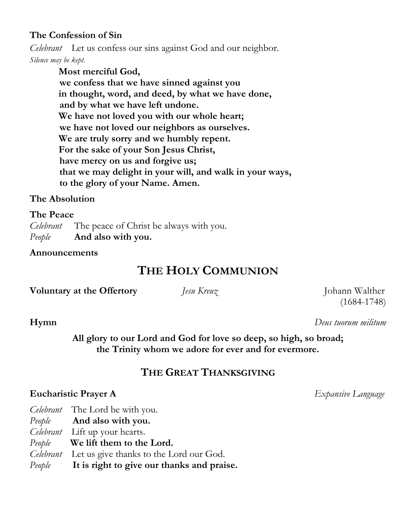#### **The Confession of Sin**

*Celebrant* Let us confess our sins against God and our neighbor. *Silence may be kept.*

> **Most merciful God, we confess that we have sinned against you in thought, word, and deed, by what we have done, and by what we have left undone. We have not loved you with our whole heart; we have not loved our neighbors as ourselves. We are truly sorry and we humbly repent. For the sake of your Son Jesus Christ, have mercy on us and forgive us; that we may delight in your will, and walk in your ways, to the glory of your Name. Amen.**

#### **The Absolution**

#### **The Peace**

*Celebrant* The peace of Christ be always with you. *People* **And also with you.**

**Announcements**

### **THE HOLY COMMUNION**

**Voluntary at the Offertory** *Jesu Kreuz Johann Walther* 

(1684-1748)

**Hymn** *Deus tuorum militum*

**All glory to our Lord and God for love so deep, so high, so broad; the Trinity whom we adore for ever and for evermore.**

#### **THE GREAT THANKSGIVING**

#### **Eucharistic Prayer A** *Expansive Language*

- *Celebrant* The Lord be with you.
- *People* **And also with you.**
- *Celebrant* Lift up your hearts.
- *People* **We lift them to the Lord.**
- *Celebrant* Let us give thanks to the Lord our God.
- *People* **It is right to give our thanks and praise.**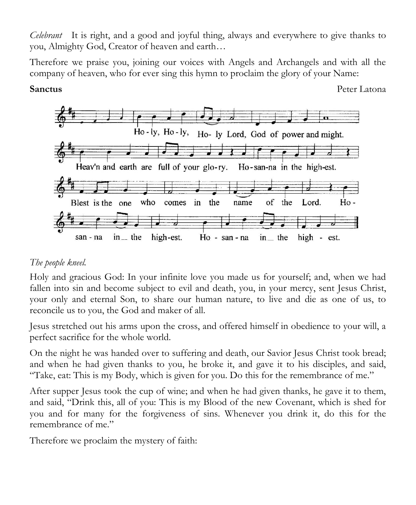*Celebrant* It is right, and a good and joyful thing, always and everywhere to give thanks to you, Almighty God, Creator of heaven and earth…

Therefore we praise you, joining our voices with Angels and Archangels and with all the company of heaven, who for ever sing this hymn to proclaim the glory of your Name:

**Sanctus** Peter Latona



#### *The people kneel.*

Holy and gracious God: In your infinite love you made us for yourself; and, when we had fallen into sin and become subject to evil and death, you, in your mercy, sent Jesus Christ, your only and eternal Son, to share our human nature, to live and die as one of us, to reconcile us to you, the God and maker of all.

Jesus stretched out his arms upon the cross, and offered himself in obedience to your will, a perfect sacrifice for the whole world.

On the night he was handed over to suffering and death, our Savior Jesus Christ took bread; and when he had given thanks to you, he broke it, and gave it to his disciples, and said, "Take, eat: This is my Body, which is given for you. Do this for the remembrance of me."

After supper Jesus took the cup of wine; and when he had given thanks, he gave it to them, and said, "Drink this, all of you: This is my Blood of the new Covenant, which is shed for you and for many for the forgiveness of sins. Whenever you drink it, do this for the remembrance of me."

Therefore we proclaim the mystery of faith: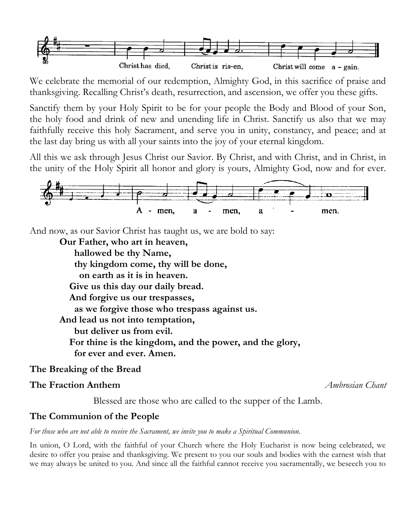

We celebrate the memorial of our redemption, Almighty God, in this sacrifice of praise and thanksgiving. Recalling Christ's death, resurrection, and ascension, we offer you these gifts.

Sanctify them by your Holy Spirit to be for your people the Body and Blood of your Son, the holy food and drink of new and unending life in Christ. Sanctify us also that we may faithfully receive this holy Sacrament, and serve you in unity, constancy, and peace; and at the last day bring us with all your saints into the joy of your eternal kingdom.

All this we ask through Jesus Christ our Savior. By Christ, and with Christ, and in Christ, in the unity of the Holy Spirit all honor and glory is yours, Almighty God, now and for ever.



And now, as our Savior Christ has taught us, we are bold to say:

**Our Father, who art in heaven, hallowed be thy Name, thy kingdom come, thy will be done, on earth as it is in heaven. Give us this day our daily bread. And forgive us our trespasses, as we forgive those who trespass against us. And lead us not into temptation, but deliver us from evil. For thine is the kingdom, and the power, and the glory, for ever and ever. Amen.**

#### **The Breaking of the Bread**

#### **The Fraction Anthem** *Ambrosian Chant*

Blessed are those who are called to the supper of the Lamb.

#### **The Communion of the People**

*For those who are not able to receive the Sacrament, we invite you to make a Spiritual Communion.*

In union, O Lord, with the faithful of your Church where the Holy Eucharist is now being celebrated, we desire to offer you praise and thanksgiving. We present to you our souls and bodies with the earnest wish that we may always be united to you. And since all the faithful cannot receive you sacramentally, we beseech you to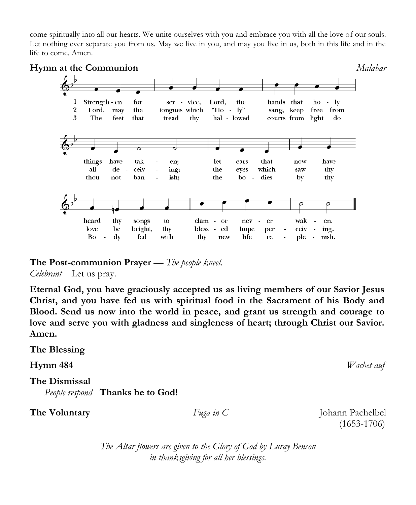come spiritually into all our hearts. We unite ourselves with you and embrace you with all the love of our souls. Let nothing ever separate you from us. May we live in you, and may you live in us, both in this life and in the life to come. Amen.



**The Post-communion Prayer** — *The people kneel. Celebrant* Let us pray.

**Eternal God, you have graciously accepted us as living members of our Savior Jesus Christ, and you have fed us with spiritual food in the Sacrament of his Body and Blood. Send us now into the world in peace, and grant us strength and courage to love and serve you with gladness and singleness of heart; through Christ our Savior. Amen.**

**The Blessing Hymn 484** *Wachet auf* **The Dismissal**  *People respond* **Thanks be to God! The Voluntary** *Fuga in C* Johann Pachelbel (1653-1706)

> *The Altar flowers are given to the Glory of God by Luray Benson in thanksgiving for all her blessings.*